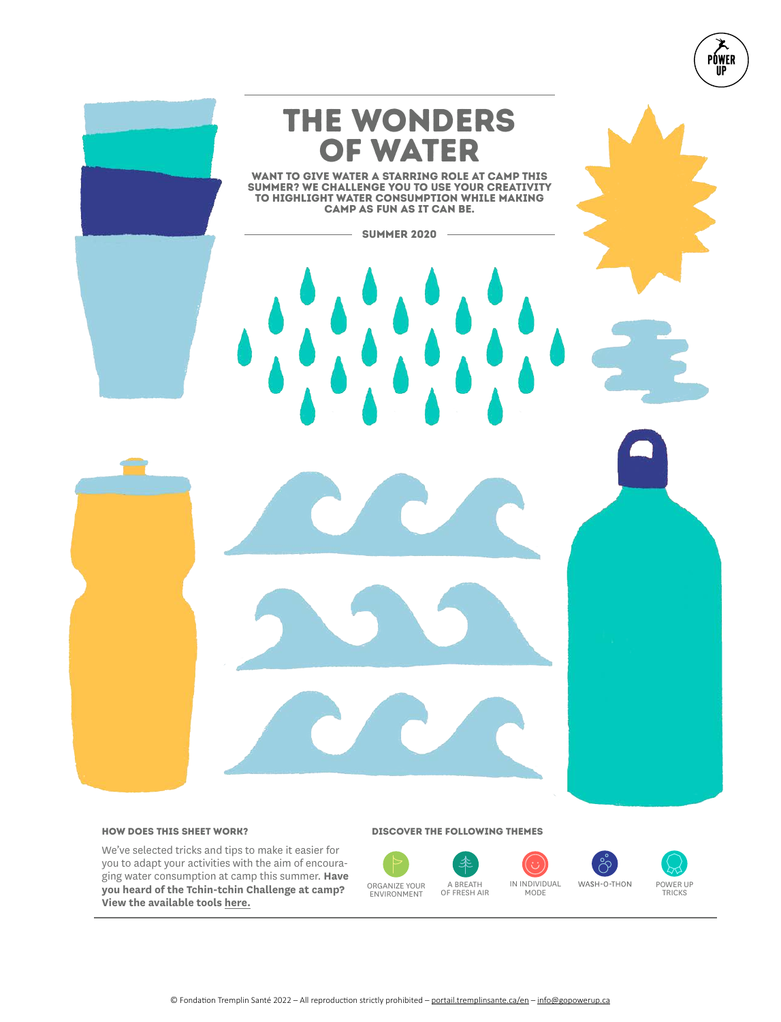

## How does this sheet work?

We've selected tricks and tips to make it easier for you to adapt your activities with the aim of encouraging water consumption at camp this summer. **Have you heard of the Tchin-tchin Challenge at camp? View the available tools here.**

#### Discover the following themes

秊 ORGANIZE YOUR ENVIRONMENT





POWER UP<br>TRICKS

PÓWER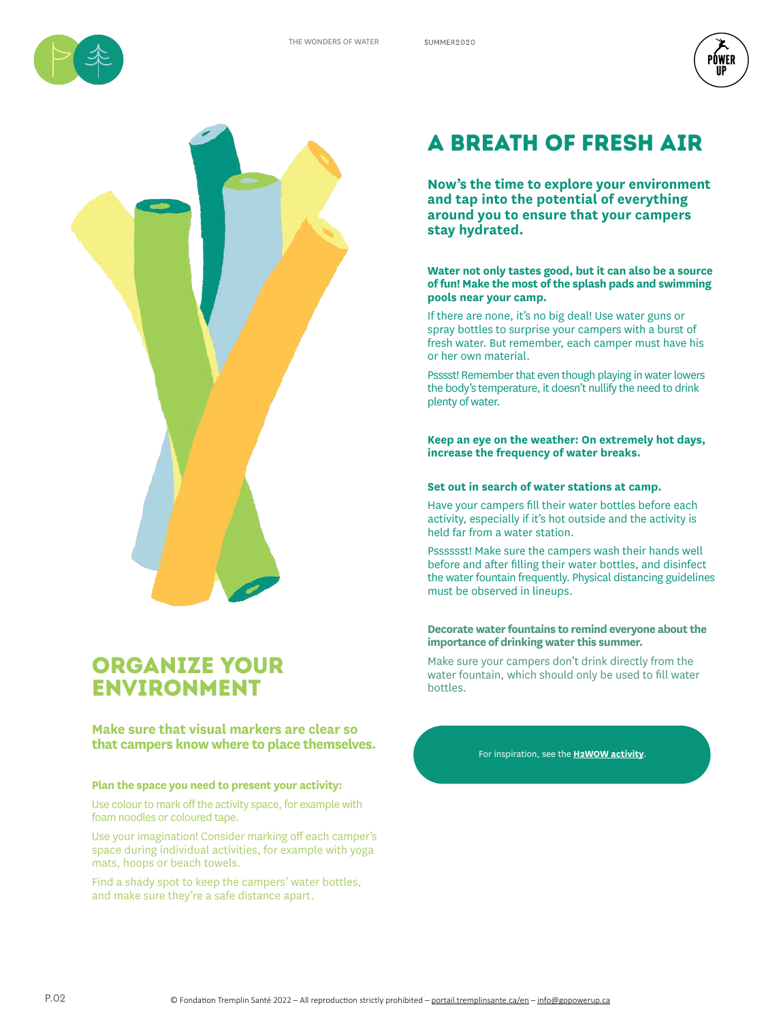





## Organize your environment

## **Make sure that visual markers are clear so that campers know where to place themselves.**

## **Plan the space you need to present your activity:**

Use colour to mark off the activity space, for example with foam noodles or coloured tape.

Use your imagination! Consider marking off each camper's space during individual activities, for example with yoga mats, hoops or beach towels.

Find a shady spot to keep the campers' water bottles, and make sure they're a safe distance apart.

# A breath of fresh air

**Now's the time to explore your environment and tap into the potential of everything around you to ensure that your campers stay hydrated.**

**Water not only tastes good, but it can also be a source of fun! Make the most of the splash pads and swimming pools near your camp.** 

If there are none, it's no big deal! Use water guns or spray bottles to surprise your campers with a burst of fresh water. But remember, each camper must have his or her own material.

Psssst! Remember that even though playing in water lowers the body's temperature, it doesn't nullify the need to drink plenty of water.

**Keep an eye on the weather: On extremely hot days, increase the frequency of water breaks.** 

## **Set out in search of water stations at camp.**

Have your campers fill their water bottles before each activity, especially if it's hot outside and the activity is held far from a water station.

Psssssst! Make sure the campers wash their hands well before and after filling their water bottles, and disinfect the water fountain frequently. Physical distancing guidelines must be observed in lineups.

## **Decorate water fountains to remind everyone about the importance of drinking water this summer.**

Make sure your campers don't drink directly from the water fountain, which should only be used to fill water bottles.

For inspiration, see the **H2WOW activity**.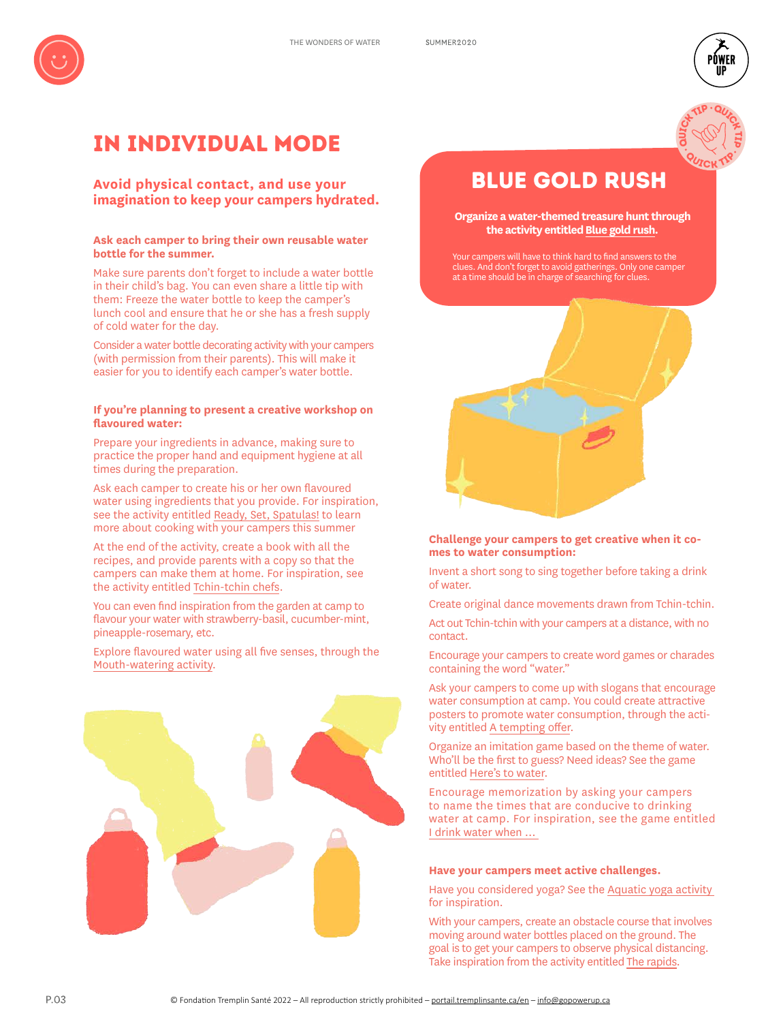

## In individual mode

## **Avoid physical contact, and use your imagination to keep your campers hydrated.**

## **Ask each camper to bring their own reusable water bottle for the summer.**

Make sure parents don't forget to include a water bottle in their child's bag. You can even share a little tip with them: Freeze the water bottle to keep the camper's lunch cool and ensure that he or she has a fresh supply of cold water for the day.

Consider a water bottle decorating activity with your campers (with permission from their parents). This will make it easier for you to identify each camper's water bottle.

## **If you're planning to present a creative workshop on flavoured water:**

Prepare your ingredients in advance, making sure to practice the proper hand and equipment hygiene at all times during the preparation.

Ask each camper to create his or her own flavoured water using ingredients that you provide. For inspiration, see the activity entitled Ready, Set, Spatulas! to learn more about cooking with your campers this summer

At the end of the activity, create a book with all the recipes, and provide parents with a copy so that the campers can make them at home. For inspiration, see the activity entitled Tchin-tchin chefs.

You can even find inspiration from the garden at camp to flavour your water with strawberry-basil, cucumber-mint, pineapple-rosemary, etc.

Explore flavoured water using all five senses, through the Mouth-watering activity.



# BLue gold rush

auter TIP

PŃWFR

**OUTSID** 

**QUICK TIP** 

**Organize a water-themed treasure hunt through the activity entitledBlue gold rush.** 

Your campers will have to think hard to find answers to the clues. And don't forget to avoid gatherings. Only one camper at a time should be in charge of searching for clues.



## **Challenge your campers to get creative when it comes to water consumption:**

Invent a short song to sing together before taking a drink of water.

Create original dance movements drawn from Tchin-tchin.

Act out Tchin-tchin with your campers at a distance, with no contact.

Encourage your campers to create word games or charades containing the word "water."

Ask your campers to come up with slogans that encourage water consumption at camp. You could create attractive posters to promote water consumption, through the activity entitled A tempting offer.

Organize an imitation game based on the theme of water. Who'll be the first to guess? Need ideas? See the game entitled Here's to water.

Encourage memorization by asking your campers to name the times that are conducive to drinking water at camp. For inspiration, see the game entitled I drink water when …

#### **Have your campers meet active challenges.**

Have you considered yoga? See the Aquatic yoga activity for inspiration.

With your campers, create an obstacle course that involves moving around water bottles placed on the ground. The goal is to get your campers to observe physical distancing. Take inspiration from the activity entitled The rapids.